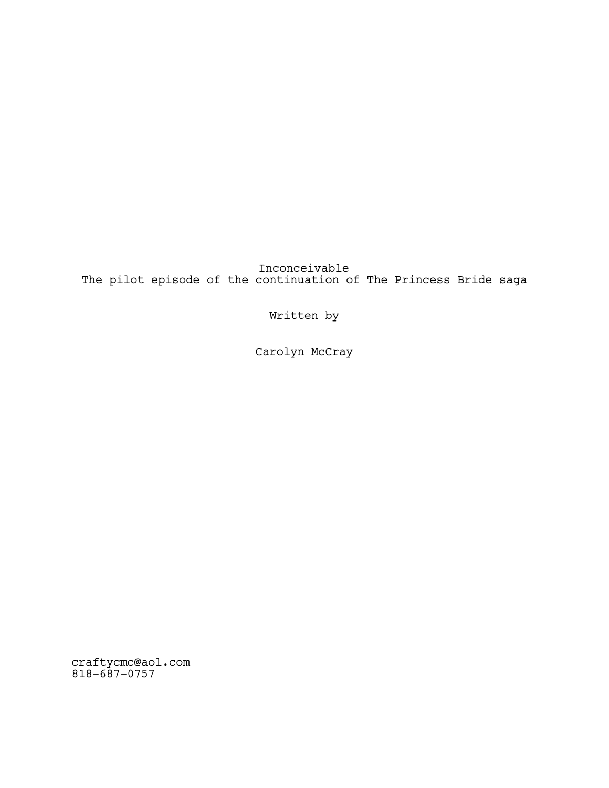Inconceivable The pilot episode of the continuation of The Princess Bride saga

Written by

Carolyn McCray

craftycmc@aol.com 818-687-0757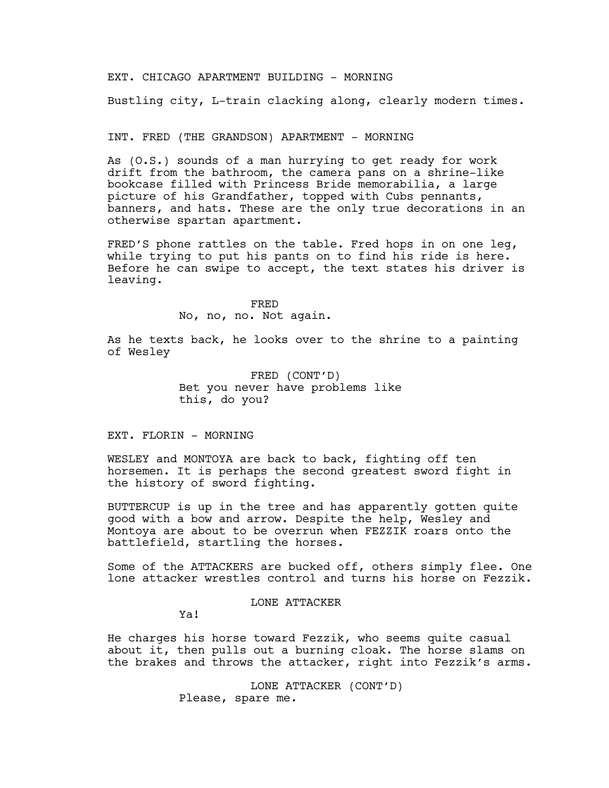### EXT. CHICAGO APARTMENT BUILDING - MORNING

Bustling city, L-train clacking along, clearly modern times.

## INT. FRED (THE GRANDSON) APARTMENT - MORNING

As (O.S.) sounds of a man hurrying to get ready for work drift from the bathroom, the camera pans on a shrine-like bookcase filled with Princess Bride memorabilia, a large picture of his Grandfather, topped with Cubs pennants, banners, and hats. These are the only true decorations in an otherwise spartan apartment.

FRED'S phone rattles on the table. Fred hops in on one leg, while trying to put his pants on to find his ride is here. Before he can swipe to accept, the text states his driver is leaving.

#### FRED

No, no, no. Not again.

As he texts back, he looks over to the shrine to a painting of Wesley

> FRED (CONT'D) Bet you never have problems like this, do you?

## EXT. FLORIN - MORNING

WESLEY and MONTOYA are back to back, fighting off ten horsemen. It is perhaps the second greatest sword fight in the history of sword fighting.

BUTTERCUP is up in the tree and has apparently gotten quite good with a bow and arrow. Despite the help, Wesley and Montoya are about to be overrun when FEZZIK roars onto the battlefield, startling the horses.

Some of the ATTACKERS are bucked off, others simply flee. One lone attacker wrestles control and turns his horse on Fezzik.

## LONE ATTACKER

Ya!

He charges his horse toward Fezzik, who seems quite casual about it, then pulls out a burning cloak. The horse slams on the brakes and throws the attacker, right into Fezzik's arms.

> LONE ATTACKER (CONT'D) Please, spare me.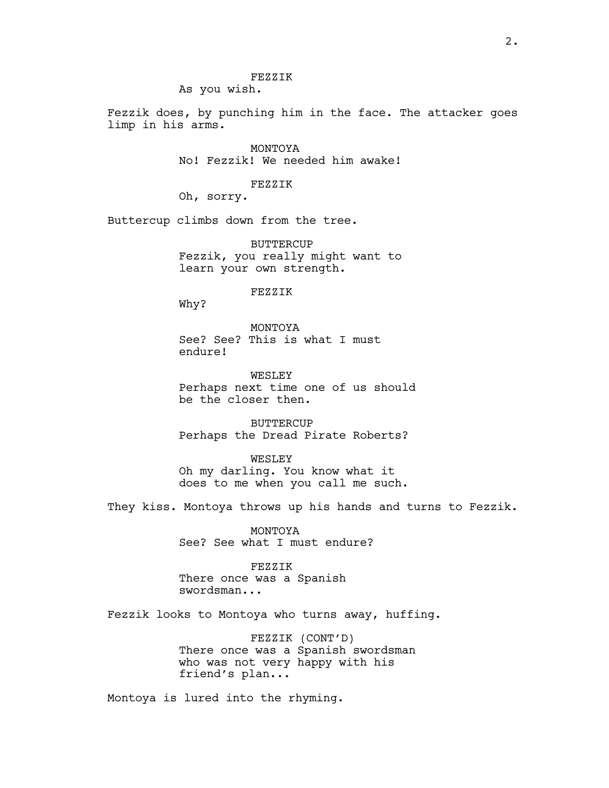Fezzik does, by punching him in the face. The attacker goes limp in his arms.

> MONTOYA No! Fezzik! We needed him awake!

#### FEZZIK

Oh, sorry.

Buttercup climbs down from the tree.

BUTTERCUP Fezzik, you really might want to learn your own strength.

#### FEZZIK

Why?

MONTOYA See? See? This is what I must endure!

WESLEY Perhaps next time one of us should be the closer then.

**BUTTERCUP** Perhaps the Dread Pirate Roberts?

WESLEY Oh my darling. You know what it does to me when you call me such.

They kiss. Montoya throws up his hands and turns to Fezzik.

MONTOYA See? See what I must endure?

#### FEZZIK

There once was a Spanish swordsman...

Fezzik looks to Montoya who turns away, huffing.

FEZZIK (CONT'D) There once was a Spanish swordsman who was not very happy with his friend's plan...

Montoya is lured into the rhyming.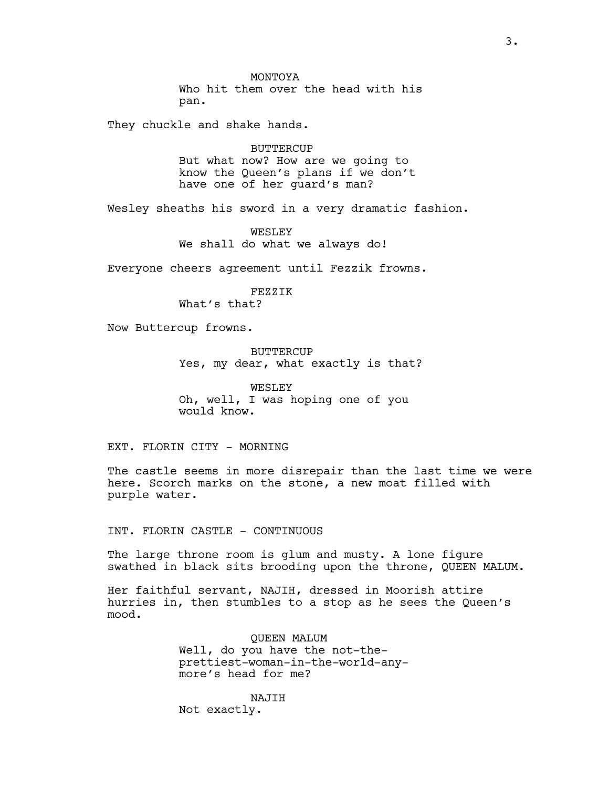MONTOYA Who hit them over the head with his pan.

They chuckle and shake hands.

BUTTERCUP But what now? How are we going to know the Queen's plans if we don't have one of her guard's man?

Wesley sheaths his sword in a very dramatic fashion.

WESLEY We shall do what we always do!

Everyone cheers agreement until Fezzik frowns.

FEZZIK

What's that?

Now Buttercup frowns.

BUTTERCUP Yes, my dear, what exactly is that?

WESLEY Oh, well, I was hoping one of you would know.

EXT. FLORIN CITY - MORNING

The castle seems in more disrepair than the last time we were here. Scorch marks on the stone, a new moat filled with purple water.

INT. FLORIN CASTLE - CONTINUOUS

The large throne room is glum and musty. A lone figure swathed in black sits brooding upon the throne, QUEEN MALUM.

Her faithful servant, NAJIH, dressed in Moorish attire hurries in, then stumbles to a stop as he sees the Queen's mood.

> QUEEN MALUM Well, do you have the not-theprettiest-woman-in-the-world-anymore's head for me?

NAJIH Not exactly.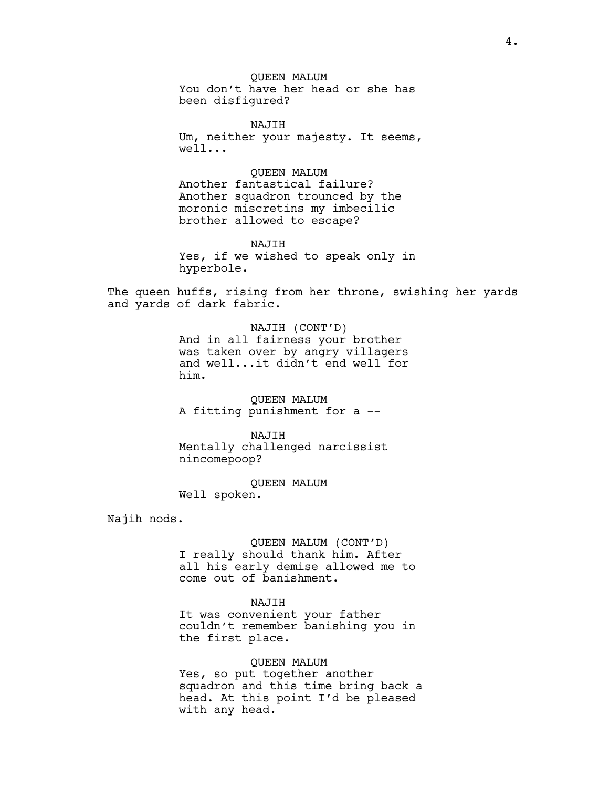QUEEN MALUM You don't have her head or she has been disfigured?

NAJIH Um, neither your majesty. It seems, well...

QUEEN MALUM Another fantastical failure? Another squadron trounced by the

moronic miscretins my imbecilic brother allowed to escape?

NAJIH Yes, if we wished to speak only in hyperbole.

The queen huffs, rising from her throne, swishing her yards and yards of dark fabric.

> NAJIH (CONT'D) And in all fairness your brother was taken over by angry villagers and well...it didn't end well for him.

QUEEN MALUM A fitting punishment for a --

NAJIH Mentally challenged narcissist nincomepoop?

QUEEN MALUM Well spoken.

Najih nods.

QUEEN MALUM (CONT'D) I really should thank him. After all his early demise allowed me to come out of banishment.

NAJIH

It was convenient your father couldn't remember banishing you in the first place.

## QUEEN MALUM

Yes, so put together another squadron and this time bring back a head. At this point I'd be pleased with any head.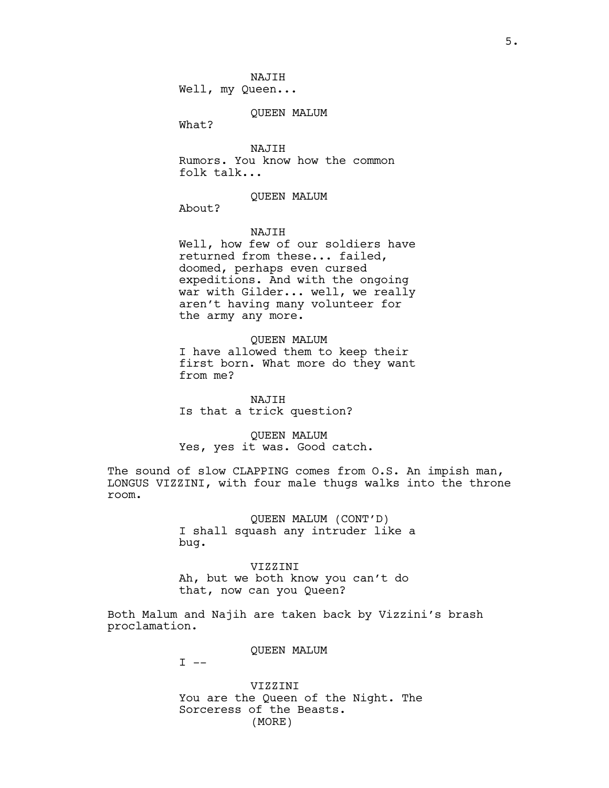Well, my Queen...

### QUEEN MALUM

What?

NAJIH Rumors. You know how the common folk talk...

#### QUEEN MALUM

About?

### NAJIH

Well, how few of our soldiers have returned from these... failed, doomed, perhaps even cursed expeditions. And with the ongoing war with Gilder... well, we really aren't having many volunteer for the army any more.

# QUEEN MALUM

I have allowed them to keep their first born. What more do they want from me?

NAJIH Is that a trick question?

## QUEEN MALUM Yes, yes it was. Good catch.

The sound of slow CLAPPING comes from O.S. An impish man, LONGUS VIZZINI, with four male thugs walks into the throne room.

> QUEEN MALUM (CONT'D) I shall squash any intruder like a bug.

#### VIZZINI

Ah, but we both know you can't do that, now can you Queen?

Both Malum and Najih are taken back by Vizzini's brash proclamation.

QUEEN MALUM

 $I$   $-$ 

VIZZINI You are the Queen of the Night. The Sorceress of the Beasts. (MORE)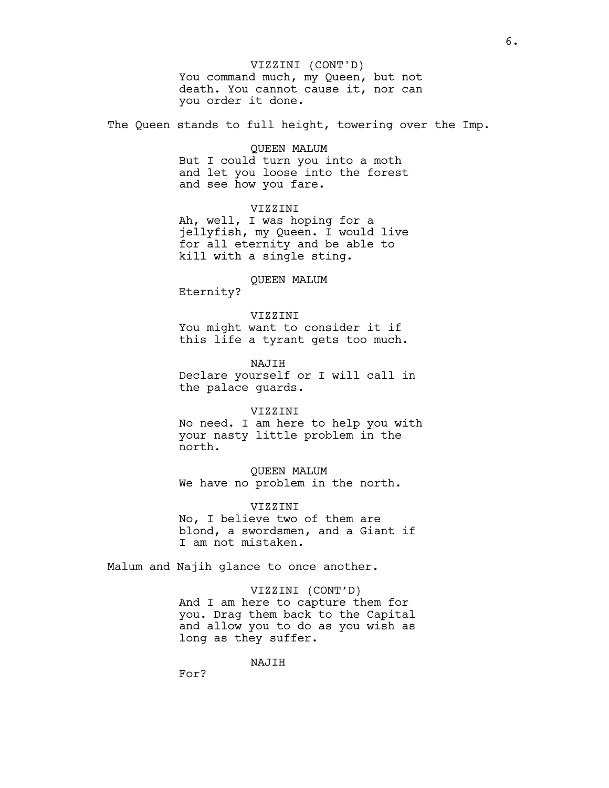# VIZZINI (CONT'D)

You command much, my Queen, but not death. You cannot cause it, nor can you order it done.

The Queen stands to full height, towering over the Imp.

## QUEEN MALUM

But I could turn you into a moth and let you loose into the forest and see how you fare.

## VIZZINI

Ah, well, I was hoping for a jellyfish, my Queen. I would live for all eternity and be able to kill with a single sting.

## QUEEN MALUM

Eternity?

## VIZZINI

You might want to consider it if this life a tyrant gets too much.

NAJIH Declare yourself or I will call in the palace guards.

#### VIZZINI

No need. I am here to help you with your nasty little problem in the north.

QUEEN MALUM We have no problem in the north.

#### VIZZINI

No, I believe two of them are blond, a swordsmen, and a Giant if I am not mistaken.

Malum and Najih glance to once another.

# VIZZINI (CONT'D) And I am here to capture them for you. Drag them back to the Capital and allow you to do as you wish as long as they suffer.

NAJIH

For?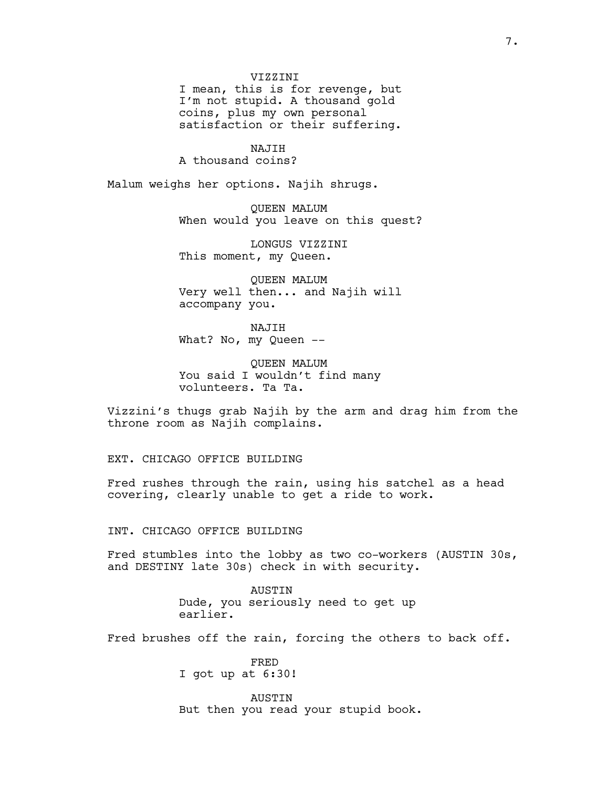#### VIZZINI

I mean, this is for revenge, but I'm not stupid. A thousand gold coins, plus my own personal satisfaction or their suffering.

NAJIH A thousand coins?

Malum weighs her options. Najih shrugs.

QUEEN MALUM When would you leave on this quest?

LONGUS VIZZINI This moment, my Queen.

QUEEN MALUM Very well then... and Najih will accompany you.

NAJIH What? No, my Queen --

QUEEN MALUM You said I wouldn't find many volunteers. Ta Ta.

Vizzini's thugs grab Najih by the arm and drag him from the throne room as Najih complains.

EXT. CHICAGO OFFICE BUILDING

Fred rushes through the rain, using his satchel as a head covering, clearly unable to get a ride to work.

INT. CHICAGO OFFICE BUILDING

Fred stumbles into the lobby as two co-workers (AUSTIN 30s, and DESTINY late 30s) check in with security.

> AUSTIN Dude, you seriously need to get up earlier.

Fred brushes off the rain, forcing the others to back off.

FRED I got up at 6:30!

AUSTIN But then you read your stupid book.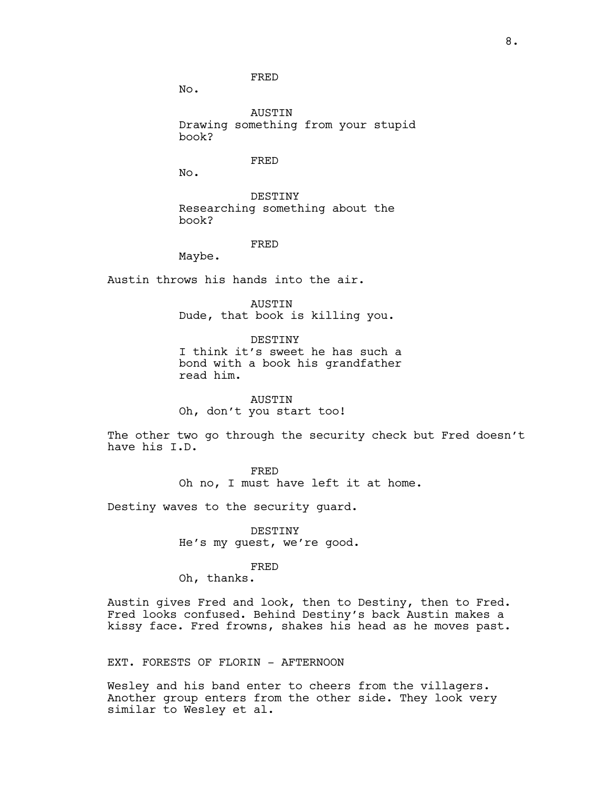No.

AUSTIN Drawing something from your stupid book?

FRED

No.

DESTINY Researching something about the book?

FRED

Maybe.

Austin throws his hands into the air.

AUSTIN Dude, that book is killing you.

DESTINY I think it's sweet he has such a bond with a book his grandfather read him.

AUSTIN Oh, don't you start too!

The other two go through the security check but Fred doesn't have his I.D.

FRED

Oh no, I must have left it at home.

Destiny waves to the security guard.

DESTINY He's my guest, we're good.

FRED

Oh, thanks.

Austin gives Fred and look, then to Destiny, then to Fred. Fred looks confused. Behind Destiny's back Austin makes a kissy face. Fred frowns, shakes his head as he moves past.

EXT. FORESTS OF FLORIN - AFTERNOON

Wesley and his band enter to cheers from the villagers. Another group enters from the other side. They look very similar to Wesley et al.